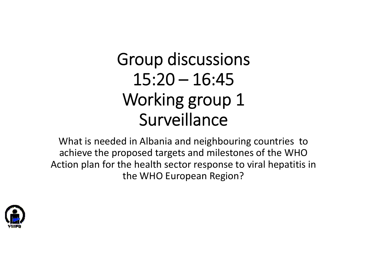# Group discussions  $15:20 - 16:45$ Working group 1 Surveillance

What is needed in Albania and neighbouring countries to achieve the proposed targets and milestones of the WHO Action plan for the health sector response to viral hepatitis in the WHO European Region?

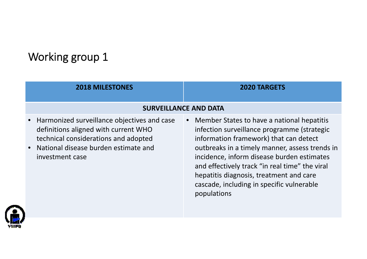# Working group 1

| <b>2018 MILESTONES</b>                                                                                                                                                                 | <b>2020 TARGETS</b>                                                                                                                                                                                                                                                                                                                                                                          |
|----------------------------------------------------------------------------------------------------------------------------------------------------------------------------------------|----------------------------------------------------------------------------------------------------------------------------------------------------------------------------------------------------------------------------------------------------------------------------------------------------------------------------------------------------------------------------------------------|
| <b>SURVEILLANCE AND DATA</b>                                                                                                                                                           |                                                                                                                                                                                                                                                                                                                                                                                              |
| Harmonized surveillance objectives and case<br>definitions aligned with current WHO<br>technical considerations and adopted<br>National disease burden estimate and<br>investment case | Member States to have a national hepatitis<br>infection surveillance programme (strategic<br>information framework) that can detect<br>outbreaks in a timely manner, assess trends in<br>incidence, inform disease burden estimates<br>and effectively track "in real time" the viral<br>hepatitis diagnosis, treatment and care<br>cascade, including in specific vulnerable<br>populations |

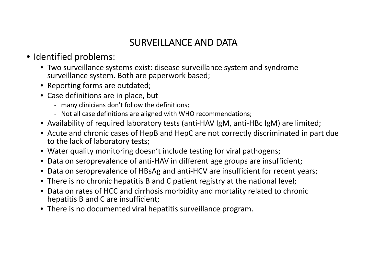## SURVEILLANCE AND DATA

#### • Identified problems:

- Two surveillance systems exist: disease surveillance system and syndrome surveillance system. Both are paperwork based;
- Reporting forms are outdated;
- Case definitions are in place, but
	- ‐ many clinicians don't follow the definitions;
	- ‐ Not all case definitions are aligned with WHO recommendations;
- Availability of required laboratory tests (anti‐HAV IgM, anti‐HBc IgM) are limited;
- Acute and chronic cases of HepB and HepC are not correctly discriminated in part due to the lack of laboratory tests;
- Water quality monitoring doesn't include testing for viral pathogens;
- Data on seroprevalence of anti‐HAV in different age groups are insufficient;
- Data on seroprevalence of HBsAg and anti‐HCV are insufficient for recent years;
- There is no chronic hepatitis B and C patient registry at the national level;
- Data on rates of HCC and cirrhosis morbidity and mortality related to chronic hepatitis B and C are insufficient;
- There is no documented viral hepatitis surveillance program.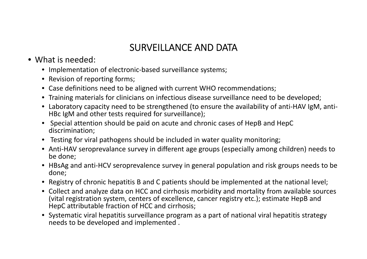### SURVEILLANCE AND DATA

- What is needed:
	- Implementation of electronic‐based surveillance systems;
	- Revision of reporting forms;
	- Case definitions need to be aligned with current WHO recommendations;
	- Training materials for clinicians on infectious disease surveillance need to be developed;
	- Laboratory capacity need to be strengthened (to ensure the availability of anti‐HAV IgM, anti‐ HBc IgM and other tests required for surveillance);
	- Special attention should be paid on acute and chronic cases of HepB and HepC discrimination;
	- Testing for viral pathogens should be included in water quality monitoring;
	- Anti-HAV seroprevalance survey in different age groups (especially among children) needs to be done;
	- HBsAg and anti‐HCV seroprevalence survey in general population and risk groups needs to be done;
	- Registry of chronic hepatitis B and C patients should be implemented at the national level;
	- Collect and analyze data on HCC and cirrhosis morbidity and mortality from available sources (vital registration system, centers of excellence, cancer registry etc.); estimate HepB and HepC attributable fraction of HCC and cirrhosis;
	- Systematic viral hepatitis surveillance program as <sup>a</sup> part of national viral hepatitis strategy needs to be developed and implemented .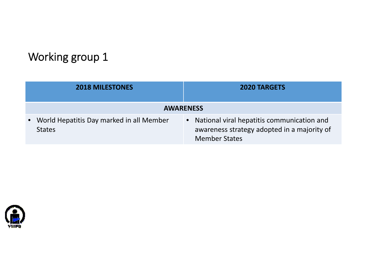# Working group 1

| <b>2018 MILESTONES</b>                                    | <b>2020 TARGETS</b>                                                                                                            |
|-----------------------------------------------------------|--------------------------------------------------------------------------------------------------------------------------------|
| <b>AWARENESS</b>                                          |                                                                                                                                |
| World Hepatitis Day marked in all Member<br><b>States</b> | National viral hepatitis communication and<br>$\bullet$<br>awareness strategy adopted in a majority of<br><b>Member States</b> |